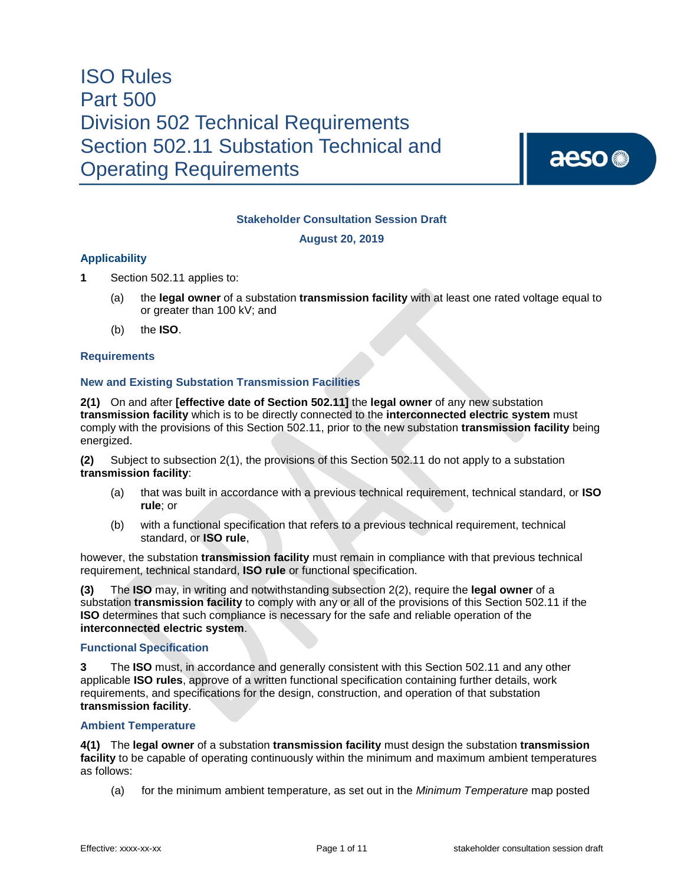aeso<sup>®</sup>

### **Stakeholder Consultation Session Draft**

**August 20, 2019**

#### **Applicability**

- **1** Section 502.11 applies to:
	- (a) the **legal owner** of a substation **transmission facility** with at least one rated voltage equal to or greater than 100 kV; and
	- (b) the **ISO**.

#### **Requirements**

#### **New and Existing Substation Transmission Facilities**

**2(1)** On and after **[effective date of Section 502.11]** the **legal owner** of any new substation **transmission facility** which is to be directly connected to the **interconnected electric system** must comply with the provisions of this Section 502.11, prior to the new substation **transmission facility** being energized.

**(2)** Subject to subsection 2(1), the provisions of this Section 502.11 do not apply to a substation **transmission facility**:

- (a) that was built in accordance with a previous technical requirement, technical standard, or **ISO rule**; or
- (b) with a functional specification that refers to a previous technical requirement, technical standard, or **ISO rule**,

however, the substation **transmission facility** must remain in compliance with that previous technical requirement, technical standard, **ISO rule** or functional specification.

**(3)** The **ISO** may, in writing and notwithstanding subsection 2(2), require the **legal owner** of a substation **transmission facility** to comply with any or all of the provisions of this Section 502.11 if the **ISO** determines that such compliance is necessary for the safe and reliable operation of the **interconnected electric system**.

#### **Functional Specification**

**3** The **ISO** must, in accordance and generally consistent with this Section 502.11 and any other applicable **ISO rules**, approve of a written functional specification containing further details, work requirements, and specifications for the design, construction, and operation of that substation **transmission facility**.

#### **Ambient Temperature**

**4(1)** The **legal owner** of a substation **transmission facility** must design the substation **transmission facility** to be capable of operating continuously within the minimum and maximum ambient temperatures as follows:

(a) for the minimum ambient temperature, as set out in the *Minimum Temperature* map posted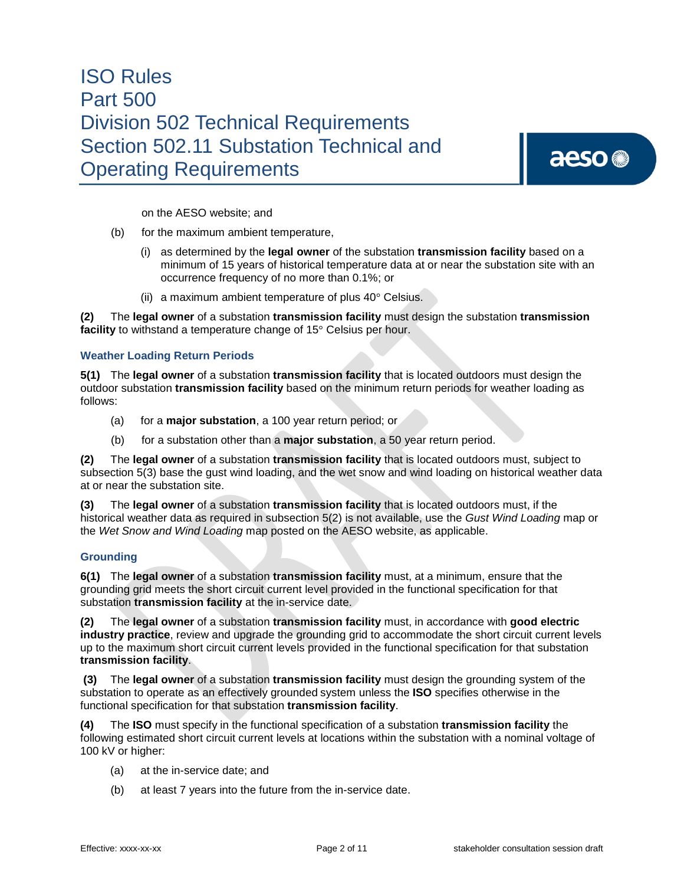aeso<sup>®</sup>

on the AESO website; and

- (b) for the maximum ambient temperature,
	- (i) as determined by the **legal owner** of the substation **transmission facility** based on a minimum of 15 years of historical temperature data at or near the substation site with an occurrence frequency of no more than 0.1%; or
	- (ii) a maximum ambient temperature of plus 40° Celsius.

**(2)** The **legal owner** of a substation **transmission facility** must design the substation **transmission facility** to withstand a temperature change of 15° Celsius per hour.

#### **Weather Loading Return Periods**

**5(1)** The **legal owner** of a substation **transmission facility** that is located outdoors must design the outdoor substation **transmission facility** based on the minimum return periods for weather loading as follows:

- (a) for a **major substation**, a 100 year return period; or
- (b) for a substation other than a **major substation**, a 50 year return period.

**(2)** The **legal owner** of a substation **transmission facility** that is located outdoors must, subject to subsection 5(3) base the gust wind loading, and the wet snow and wind loading on historical weather data at or near the substation site.

**(3)** The **legal owner** of a substation **transmission facility** that is located outdoors must, if the historical weather data as required in subsection 5(2) is not available, use the *Gust Wind Loading* map or the *Wet Snow and Wind Loading* map posted on the AESO website, as applicable.

#### **Grounding**

**6(1)** The **legal owner** of a substation **transmission facility** must, at a minimum, ensure that the grounding grid meets the short circuit current level provided in the functional specification for that substation **transmission facility** at the in-service date.

**(2)** The **legal owner** of a substation **transmission facility** must, in accordance with **good electric industry practice**, review and upgrade the grounding grid to accommodate the short circuit current levels up to the maximum short circuit current levels provided in the functional specification for that substation **transmission facility**.

**(3)** The **legal owner** of a substation **transmission facility** must design the grounding system of the substation to operate as an effectively grounded system unless the **ISO** specifies otherwise in the functional specification for that substation **transmission facility**.

**(4)** The **ISO** must specify in the functional specification of a substation **transmission facility** the following estimated short circuit current levels at locations within the substation with a nominal voltage of 100 kV or higher:

- (a) at the in-service date; and
- (b) at least 7 years into the future from the in-service date.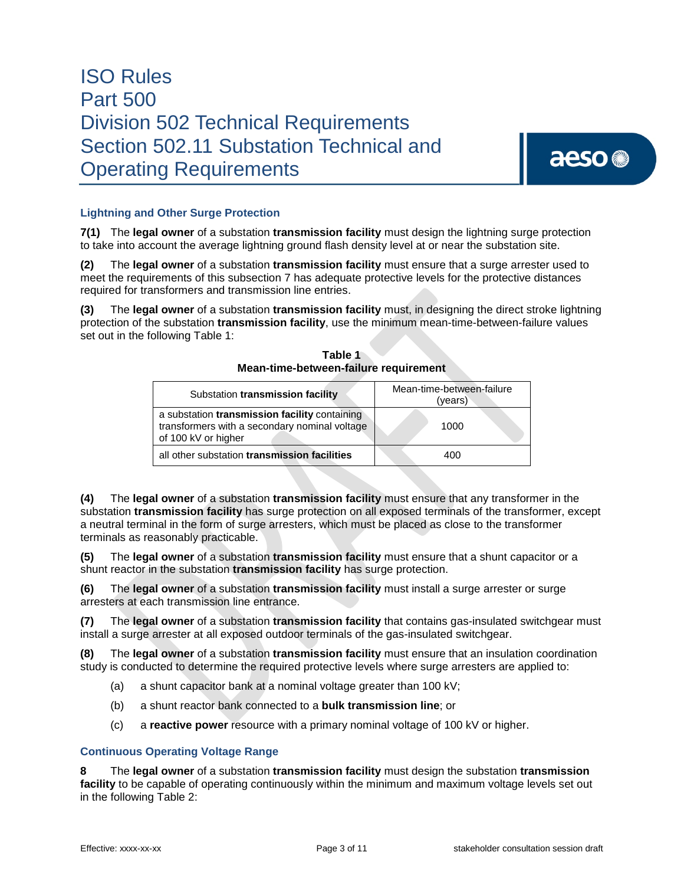

### **Lightning and Other Surge Protection**

**7(1)** The **legal owner** of a substation **transmission facility** must design the lightning surge protection to take into account the average lightning ground flash density level at or near the substation site.

**(2)** The **legal owner** of a substation **transmission facility** must ensure that a surge arrester used to meet the requirements of this subsection 7 has adequate protective levels for the protective distances required for transformers and transmission line entries.

**(3)** The **legal owner** of a substation **transmission facility** must, in designing the direct stroke lightning protection of the substation **transmission facility**, use the minimum mean-time-between-failure values set out in the following Table 1:

| Substation transmission facility                                                                                      | Mean-time-between-failure<br>(years) |  |
|-----------------------------------------------------------------------------------------------------------------------|--------------------------------------|--|
| a substation transmission facility containing<br>transformers with a secondary nominal voltage<br>of 100 kV or higher | 1000                                 |  |
| all other substation transmission facilities                                                                          | 400                                  |  |

**Table 1 Mean-time-between-failure requirement**

**(4)** The **legal owner** of a substation **transmission facility** must ensure that any transformer in the substation **transmission facility** has surge protection on all exposed terminals of the transformer, except a neutral terminal in the form of surge arresters, which must be placed as close to the transformer terminals as reasonably practicable.

**(5)** The **legal owner** of a substation **transmission facility** must ensure that a shunt capacitor or a shunt reactor in the substation **transmission facility** has surge protection.

**(6)** The **legal owner** of a substation **transmission facility** must install a surge arrester or surge arresters at each transmission line entrance.

**(7)** The **legal owner** of a substation **transmission facility** that contains gas-insulated switchgear must install a surge arrester at all exposed outdoor terminals of the gas-insulated switchgear.

**(8)** The **legal owner** of a substation **transmission facility** must ensure that an insulation coordination study is conducted to determine the required protective levels where surge arresters are applied to:

- (a) a shunt capacitor bank at a nominal voltage greater than 100 kV;
- (b) a shunt reactor bank connected to a **bulk transmission line**; or
- (c) a **reactive power** resource with a primary nominal voltage of 100 kV or higher.

### **Continuous Operating Voltage Range**

**8** The **legal owner** of a substation **transmission facility** must design the substation **transmission facility** to be capable of operating continuously within the minimum and maximum voltage levels set out in the following Table 2: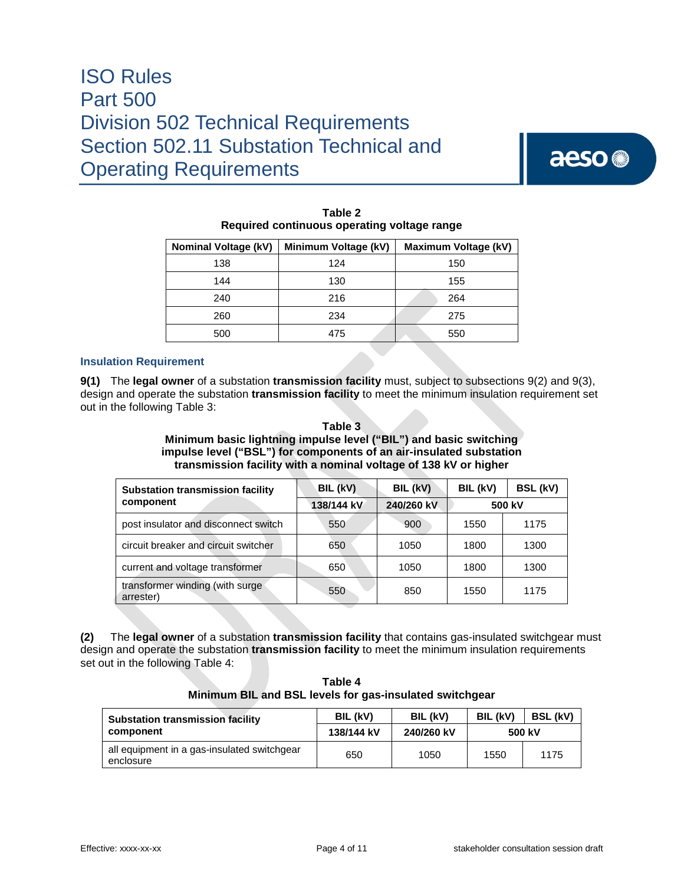aeso<sup>®</sup>

| <b>Nominal Voltage (kV)</b> | Minimum Voltage (kV) | Maximum Voltage (kV) |  |  |
|-----------------------------|----------------------|----------------------|--|--|
| 138                         | 124                  | 150                  |  |  |
| 144                         | 130                  | 155                  |  |  |
| 240                         | 216                  | 264                  |  |  |
| 260                         | 234                  | 275                  |  |  |
| 500                         | 475                  | 550                  |  |  |

| Table 2                                     |
|---------------------------------------------|
| Required continuous operating voltage range |

### **Insulation Requirement**

**9(1)** The **legal owner** of a substation **transmission facility** must, subject to subsections 9(2) and 9(3), design and operate the substation **transmission facility** to meet the minimum insulation requirement set out in the following Table 3:

### **Table 3 Minimum basic lightning impulse level ("BIL") and basic switching impulse level ("BSL") for components of an air-insulated substation transmission facility with a nominal voltage of 138 kV or higher**

| <b>Substation transmission facility</b><br>component | BIL (kV)   | BIL (kV)   | BIL (kV) | BSL (kV) |
|------------------------------------------------------|------------|------------|----------|----------|
|                                                      | 138/144 kV | 240/260 kV | 500 kV   |          |
| post insulator and disconnect switch                 | 550        | 900        | 1550     | 1175     |
| circuit breaker and circuit switcher                 | 650        | 1050       | 1800     | 1300     |
| current and voltage transformer                      | 650        | 1050       | 1800     | 1300     |
| transformer winding (with surge<br>arrester)         | 550        | 850        | 1550     | 1175     |

**(2)** The **legal owner** of a substation **transmission facility** that contains gas-insulated switchgear must design and operate the substation **transmission facility** to meet the minimum insulation requirements set out in the following Table 4:

**Table 4 Minimum BIL and BSL levels for gas-insulated switchgear**

| <b>Substation transmission facility</b><br>component     | BIL (kV)   | BIL (kV)   | BIL (kV) | <b>BSL (kV)</b> |
|----------------------------------------------------------|------------|------------|----------|-----------------|
|                                                          | 138/144 kV | 240/260 kV |          | 500 kV          |
| all equipment in a gas-insulated switchgear<br>enclosure | 650        | 1050       | 1550     | 1175            |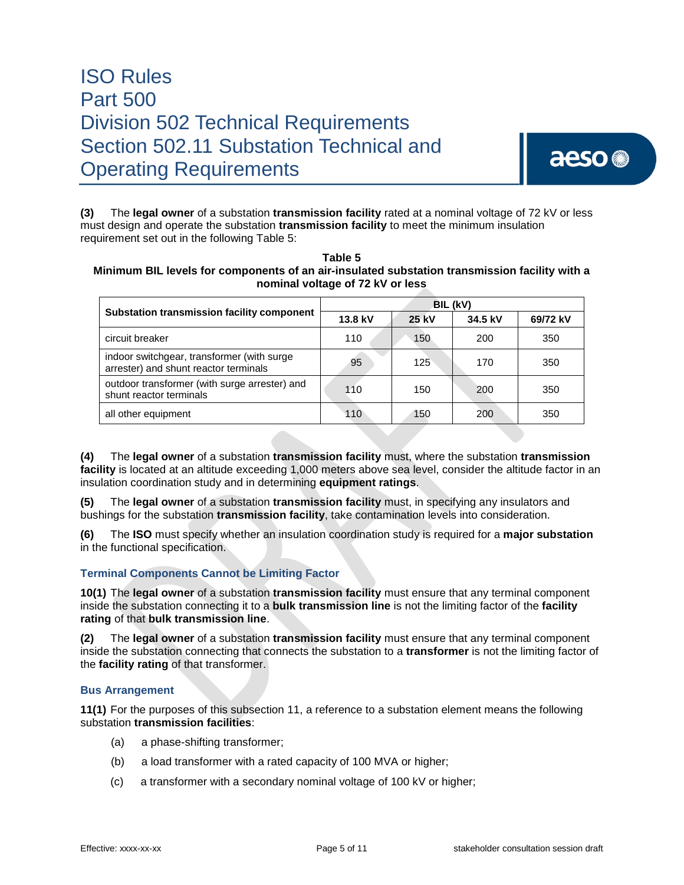

**(3)** The **legal owner** of a substation **transmission facility** rated at a nominal voltage of 72 kV or less must design and operate the substation **transmission facility** to meet the minimum insulation requirement set out in the following Table 5:

| Table 5                                                                                       |
|-----------------------------------------------------------------------------------------------|
| Minimum BIL levels for components of an air-insulated substation transmission facility with a |
| nominal voltage of 72 kV or less                                                              |
|                                                                                               |

|                                                                                     | BIL (kV) |       |         |          |
|-------------------------------------------------------------------------------------|----------|-------|---------|----------|
| Substation transmission facility component                                          | 13.8 kV  | 25 kV | 34.5 kV | 69/72 kV |
| circuit breaker                                                                     | 110      | 150   | 200     | 350      |
| indoor switchgear, transformer (with surge<br>arrester) and shunt reactor terminals | 95       | 125   | 170     | 350      |
| outdoor transformer (with surge arrester) and<br>shunt reactor terminals            | 110      | 150   | 200     | 350      |
| all other equipment                                                                 | 110      | 150   | 200     | 350      |

**(4)** The **legal owner** of a substation **transmission facility** must, where the substation **transmission facility** is located at an altitude exceeding 1,000 meters above sea level, consider the altitude factor in an insulation coordination study and in determining **equipment ratings**.

**(5)** The **legal owner** of a substation **transmission facility** must, in specifying any insulators and bushings for the substation **transmission facility**, take contamination levels into consideration.

**(6)** The **ISO** must specify whether an insulation coordination study is required for a **major substation** in the functional specification.

### **Terminal Components Cannot be Limiting Factor**

**10(1)** The **legal owner** of a substation **transmission facility** must ensure that any terminal component inside the substation connecting it to a **bulk transmission line** is not the limiting factor of the **facility rating** of that **bulk transmission line**.

**(2)** The **legal owner** of a substation **transmission facility** must ensure that any terminal component inside the substation connecting that connects the substation to a **transformer** is not the limiting factor of the **facility rating** of that transformer.

### **Bus Arrangement**

**11(1)** For the purposes of this subsection 11, a reference to a substation element means the following substation **transmission facilities**:

- (a) a phase-shifting transformer;
- (b) a load transformer with a rated capacity of 100 MVA or higher;
- (c) a transformer with a secondary nominal voltage of 100 kV or higher;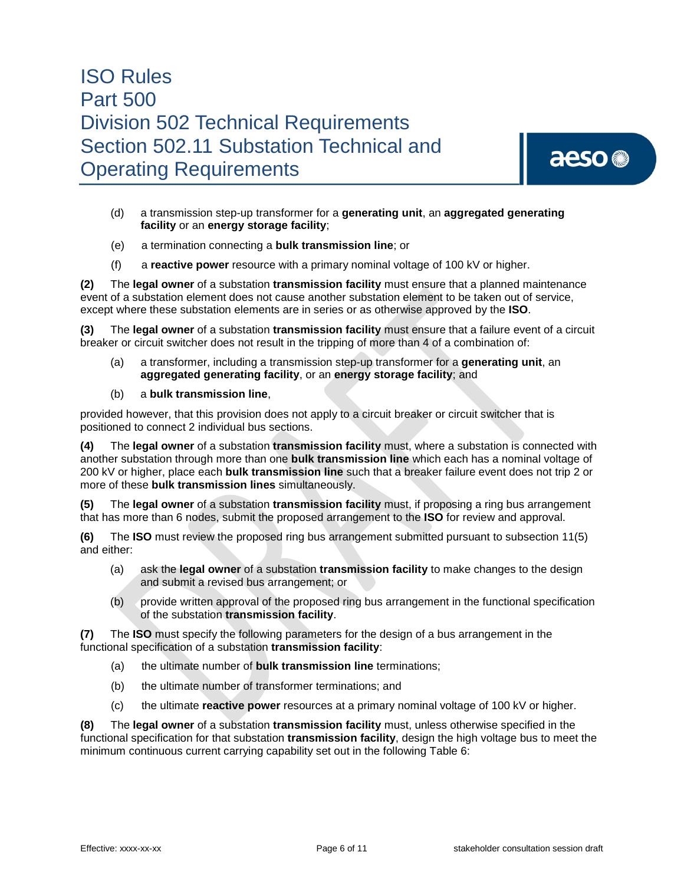

- (d) a transmission step-up transformer for a **generating unit**, an **aggregated generating facility** or an **energy storage facility**;
- (e) a termination connecting a **bulk transmission line**; or
- (f) a **reactive power** resource with a primary nominal voltage of 100 kV or higher.

**(2)** The **legal owner** of a substation **transmission facility** must ensure that a planned maintenance event of a substation element does not cause another substation element to be taken out of service, except where these substation elements are in series or as otherwise approved by the **ISO**.

**(3)** The **legal owner** of a substation **transmission facility** must ensure that a failure event of a circuit breaker or circuit switcher does not result in the tripping of more than 4 of a combination of:

- (a) a transformer, including a transmission step-up transformer for a **generating unit**, an **aggregated generating facility**, or an **energy storage facility**; and
- (b) a **bulk transmission line**,

provided however, that this provision does not apply to a circuit breaker or circuit switcher that is positioned to connect 2 individual bus sections.

**(4)** The **legal owner** of a substation **transmission facility** must, where a substation is connected with another substation through more than one **bulk transmission line** which each has a nominal voltage of 200 kV or higher, place each **bulk transmission line** such that a breaker failure event does not trip 2 or more of these **bulk transmission lines** simultaneously.

**(5)** The **legal owner** of a substation **transmission facility** must, if proposing a ring bus arrangement that has more than 6 nodes, submit the proposed arrangement to the **ISO** for review and approval.

**(6)** The **ISO** must review the proposed ring bus arrangement submitted pursuant to subsection 11(5) and either:

- (a) ask the **legal owner** of a substation **transmission facility** to make changes to the design and submit a revised bus arrangement; or
- (b) provide written approval of the proposed ring bus arrangement in the functional specification of the substation **transmission facility**.

**(7)** The **ISO** must specify the following parameters for the design of a bus arrangement in the functional specification of a substation **transmission facility**:

- (a) the ultimate number of **bulk transmission line** terminations;
- (b) the ultimate number of transformer terminations; and
- (c) the ultimate **reactive power** resources at a primary nominal voltage of 100 kV or higher.

**(8)** The **legal owner** of a substation **transmission facility** must, unless otherwise specified in the functional specification for that substation **transmission facility**, design the high voltage bus to meet the minimum continuous current carrying capability set out in the following Table 6: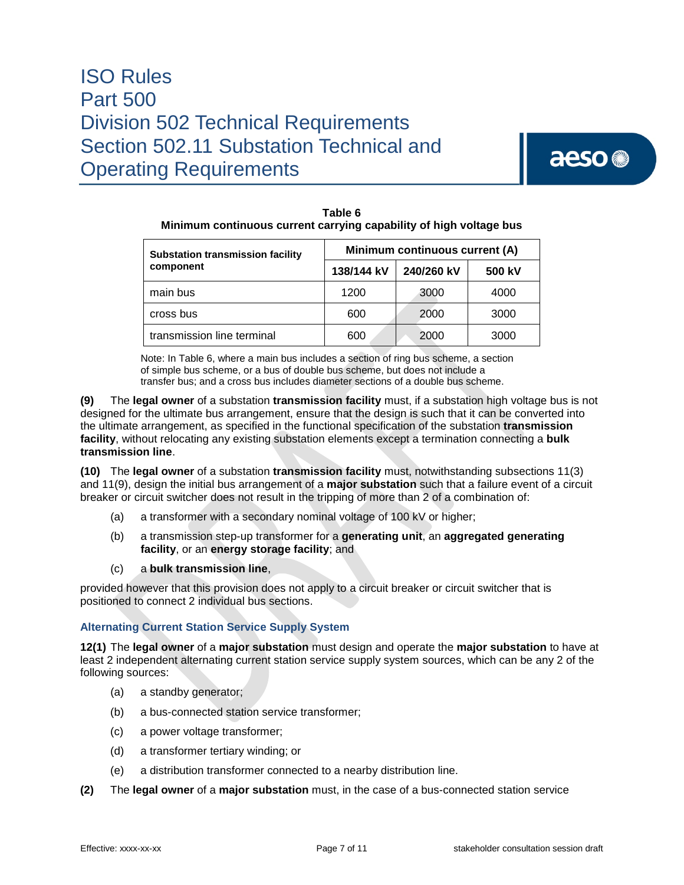# aeso<sup>®</sup>

| <u>Minimum continuous current carrying capability of night voltage bus</u> |                                |            |        |  |
|----------------------------------------------------------------------------|--------------------------------|------------|--------|--|
| <b>Substation transmission facility</b>                                    | Minimum continuous current (A) |            |        |  |
| component                                                                  | 138/144 kV                     | 240/260 kV | 500 kV |  |
| main bus                                                                   | 1200                           | 3000       | 4000   |  |
| cross bus                                                                  | 600                            | 2000       | 3000   |  |
| transmission line terminal                                                 | 600                            | 2000       | 3000   |  |

**Table 6 Minimum continuous current carrying capability of high voltage bus**

Note: In Table 6, where a main bus includes a section of ring bus scheme, a section of simple bus scheme, or a bus of double bus scheme, but does not include a transfer bus; and a cross bus includes diameter sections of a double bus scheme.

**(9)** The **legal owner** of a substation **transmission facility** must, if a substation high voltage bus is not designed for the ultimate bus arrangement, ensure that the design is such that it can be converted into the ultimate arrangement, as specified in the functional specification of the substation **transmission facility**, without relocating any existing substation elements except a termination connecting a **bulk transmission line**.

**(10)** The **legal owner** of a substation **transmission facility** must, notwithstanding subsections 11(3) and 11(9), design the initial bus arrangement of a **major substation** such that a failure event of a circuit breaker or circuit switcher does not result in the tripping of more than 2 of a combination of:

- (a) a transformer with a secondary nominal voltage of 100 kV or higher;
- (b) a transmission step-up transformer for a **generating unit**, an **aggregated generating facility**, or an **energy storage facility**; and
- (c) a **bulk transmission line**,

provided however that this provision does not apply to a circuit breaker or circuit switcher that is positioned to connect 2 individual bus sections.

### **Alternating Current Station Service Supply System**

**12(1)** The **legal owner** of a **major substation** must design and operate the **major substation** to have at least 2 independent alternating current station service supply system sources, which can be any 2 of the following sources:

- (a) a standby generator;
- (b) a bus-connected station service transformer;
- (c) a power voltage transformer;
- (d) a transformer tertiary winding; or
- (e) a distribution transformer connected to a nearby distribution line.
- **(2)** The **legal owner** of a **major substation** must, in the case of a bus-connected station service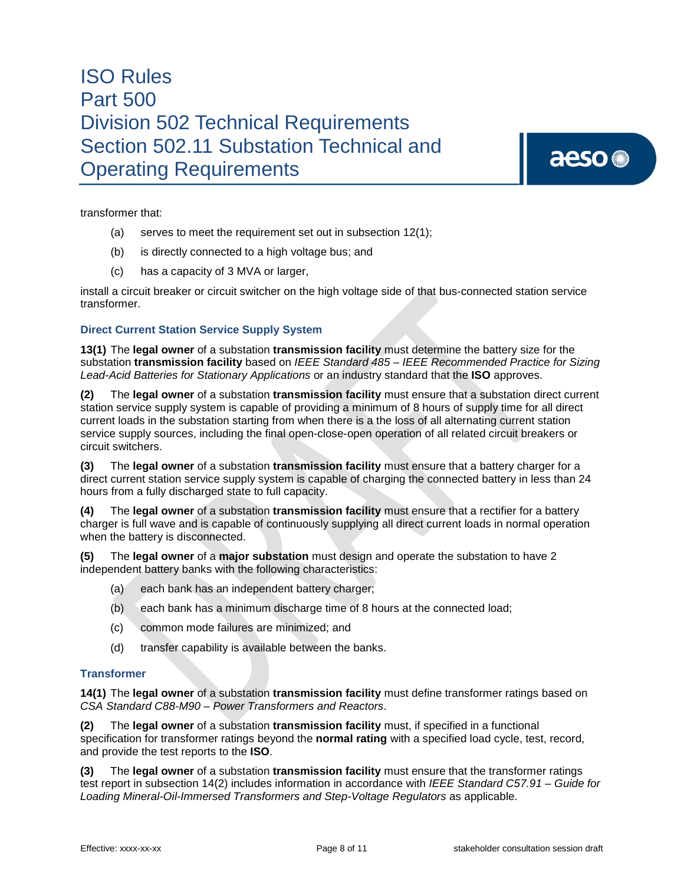aeso<sup>®</sup>

transformer that:

- (a) serves to meet the requirement set out in subsection 12(1);
- (b) is directly connected to a high voltage bus; and
- (c) has a capacity of 3 MVA or larger,

install a circuit breaker or circuit switcher on the high voltage side of that bus-connected station service transformer.

### **Direct Current Station Service Supply System**

**13(1)** The **legal owner** of a substation **transmission facility** must determine the battery size for the substation **transmission facility** based on *IEEE Standard 485 – IEEE Recommended Practice for Sizing Lead-Acid Batteries for Stationary Applications* or an industry standard that the **ISO** approves.

**(2)** The **legal owner** of a substation **transmission facility** must ensure that a substation direct current station service supply system is capable of providing a minimum of 8 hours of supply time for all direct current loads in the substation starting from when there is a the loss of all alternating current station service supply sources, including the final open-close-open operation of all related circuit breakers or circuit switchers.

**(3)** The **legal owner** of a substation **transmission facility** must ensure that a battery charger for a direct current station service supply system is capable of charging the connected battery in less than 24 hours from a fully discharged state to full capacity.

**(4)** The **legal owner** of a substation **transmission facility** must ensure that a rectifier for a battery charger is full wave and is capable of continuously supplying all direct current loads in normal operation when the battery is disconnected.

**(5)** The **legal owner** of a **major substation** must design and operate the substation to have 2 independent battery banks with the following characteristics:

- (a) each bank has an independent battery charger;
- (b) each bank has a minimum discharge time of 8 hours at the connected load;
- (c) common mode failures are minimized; and
- (d) transfer capability is available between the banks.

### **Transformer**

**14(1)** The **legal owner** of a substation **transmission facility** must define transformer ratings based on *CSA Standard C88-M90 – Power Transformers and Reactors*.

**(2)** The **legal owner** of a substation **transmission facility** must, if specified in a functional specification for transformer ratings beyond the **normal rating** with a specified load cycle, test, record, and provide the test reports to the **ISO**.

**(3)** The **legal owner** of a substation **transmission facility** must ensure that the transformer ratings test report in subsection 14(2) includes information in accordance with *IEEE Standard C57.91 – Guide for Loading Mineral-Oil-Immersed Transformers and Step-Voltage Regulators* as applicable.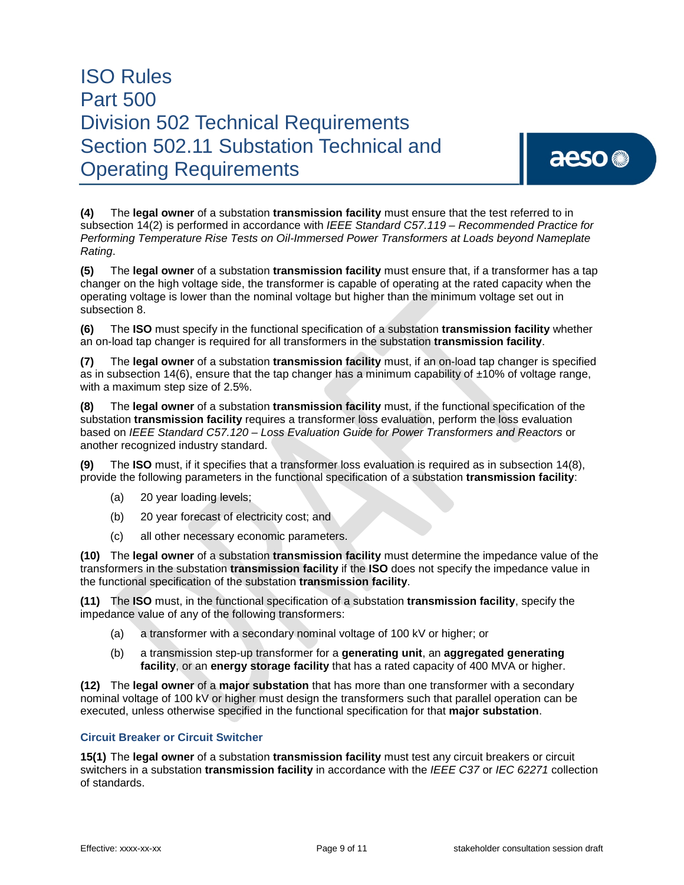# aeso<sup>®</sup>

**(4)** The **legal owner** of a substation **transmission facility** must ensure that the test referred to in subsection 14(2) is performed in accordance with *IEEE Standard C57.119 – Recommended Practice for Performing Temperature Rise Tests on Oil-Immersed Power Transformers at Loads beyond Nameplate Rating*.

**(5)** The **legal owner** of a substation **transmission facility** must ensure that, if a transformer has a tap changer on the high voltage side, the transformer is capable of operating at the rated capacity when the operating voltage is lower than the nominal voltage but higher than the minimum voltage set out in subsection 8.

**(6)** The **ISO** must specify in the functional specification of a substation **transmission facility** whether an on-load tap changer is required for all transformers in the substation **transmission facility**.

**(7)** The **legal owner** of a substation **transmission facility** must, if an on-load tap changer is specified as in subsection 14(6), ensure that the tap changer has a minimum capability of  $\pm 10\%$  of voltage range, with a maximum step size of 2.5%.

**(8)** The **legal owner** of a substation **transmission facility** must, if the functional specification of the substation **transmission facility** requires a transformer loss evaluation, perform the loss evaluation based on *IEEE Standard C57.120 – Loss Evaluation Guide for Power Transformers and Reactors* or another recognized industry standard.

**(9)** The **ISO** must, if it specifies that a transformer loss evaluation is required as in subsection 14(8), provide the following parameters in the functional specification of a substation **transmission facility**:

- (a) 20 year loading levels;
- (b) 20 year forecast of electricity cost; and
- (c) all other necessary economic parameters.

**(10)** The **legal owner** of a substation **transmission facility** must determine the impedance value of the transformers in the substation **transmission facility** if the **ISO** does not specify the impedance value in the functional specification of the substation **transmission facility**.

**(11)** The **ISO** must, in the functional specification of a substation **transmission facility**, specify the impedance value of any of the following transformers:

- (a) a transformer with a secondary nominal voltage of 100 kV or higher; or
- (b) a transmission step-up transformer for a **generating unit**, an **aggregated generating facility**, or an **energy storage facility** that has a rated capacity of 400 MVA or higher.

**(12)** The **legal owner** of a **major substation** that has more than one transformer with a secondary nominal voltage of 100 kV or higher must design the transformers such that parallel operation can be executed, unless otherwise specified in the functional specification for that **major substation**.

### **Circuit Breaker or Circuit Switcher**

**15(1)** The **legal owner** of a substation **transmission facility** must test any circuit breakers or circuit switchers in a substation **transmission facility** in accordance with the *IEEE C37* or *IEC 62271* collection of standards.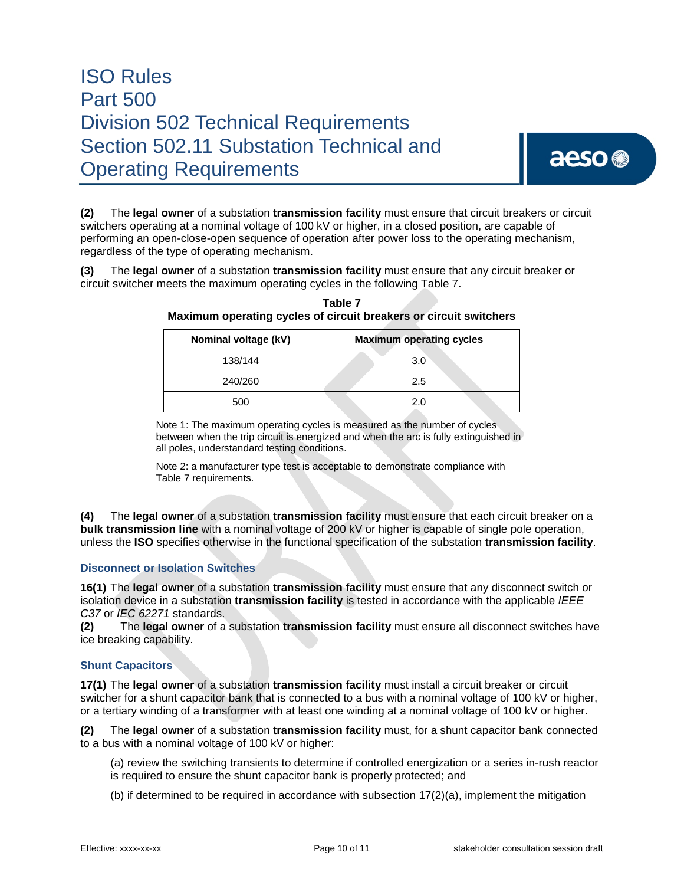**(2)** The **legal owner** of a substation **transmission facility** must ensure that circuit breakers or circuit switchers operating at a nominal voltage of 100 kV or higher, in a closed position, are capable of performing an open-close-open sequence of operation after power loss to the operating mechanism, regardless of the type of operating mechanism.

**(3)** The **legal owner** of a substation **transmission facility** must ensure that any circuit breaker or circuit switcher meets the maximum operating cycles in the following Table 7.

| Nominal voltage (kV) | <b>Maximum operating cycles</b> |  |  |
|----------------------|---------------------------------|--|--|
| 138/144              | 3.0                             |  |  |
| 240/260              | 2.5                             |  |  |
| 500                  | 2.0                             |  |  |

**Table 7 Maximum operating cycles of circuit breakers or circuit switchers**

Note 1: The maximum operating cycles is measured as the number of cycles between when the trip circuit is energized and when the arc is fully extinguished in all poles, understandard testing conditions.

Note 2: a manufacturer type test is acceptable to demonstrate compliance with Table 7 requirements.

**(4)** The **legal owner** of a substation **transmission facility** must ensure that each circuit breaker on a **bulk transmission line** with a nominal voltage of 200 kV or higher is capable of single pole operation, unless the **ISO** specifies otherwise in the functional specification of the substation **transmission facility**.

### **Disconnect or Isolation Switches**

**16(1)** The **legal owner** of a substation **transmission facility** must ensure that any disconnect switch or isolation device in a substation **transmission facility** is tested in accordance with the applicable *IEEE C37* or *IEC 62271* standards.

**(2)** The **legal owner** of a substation **transmission facility** must ensure all disconnect switches have ice breaking capability.

### **Shunt Capacitors**

**17(1)** The **legal owner** of a substation **transmission facility** must install a circuit breaker or circuit switcher for a shunt capacitor bank that is connected to a bus with a nominal voltage of 100 kV or higher, or a tertiary winding of a transformer with at least one winding at a nominal voltage of 100 kV or higher.

**(2)** The **legal owner** of a substation **transmission facility** must, for a shunt capacitor bank connected to a bus with a nominal voltage of 100 kV or higher:

- (a) review the switching transients to determine if controlled energization or a series in-rush reactor is required to ensure the shunt capacitor bank is properly protected; and
- (b) if determined to be required in accordance with subsection  $17(2)(a)$ , implement the mitigation